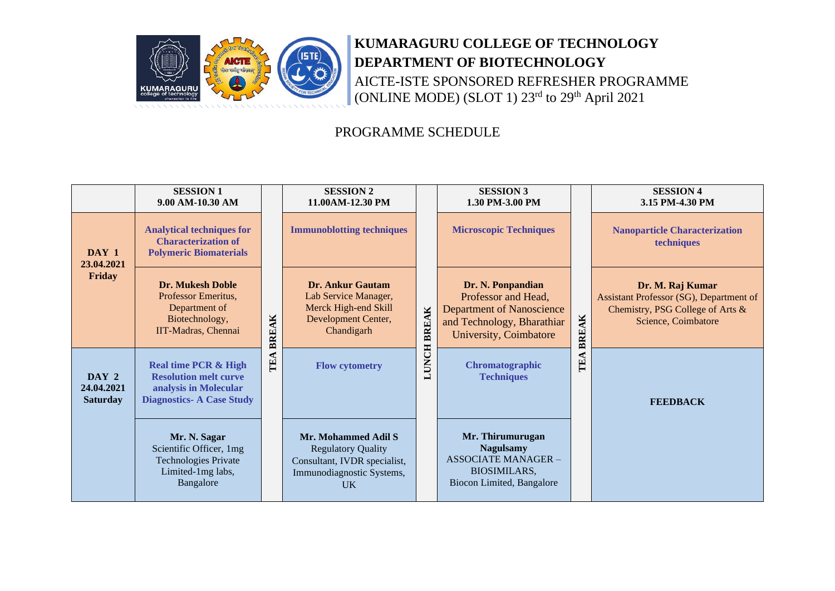

# **KUMARAGURU COLLEGE OF TECHNOLOGY DEPARTMENT OF BIOTECHNOLOGY** AICTE-ISTE SPONSORED REFRESHER PROGRAMME (ONLINE MODE) (SLOT 1) 23<sup>rd</sup> to 29<sup>th</sup> April 2021

### PROGRAMME SCHEDULE

|                                        | <b>SESSION 1</b><br>9.00 AM-10.30 AM                                                                                        |              | <b>SESSION 2</b><br>11.00AM-12.30 PM                                                                                       |             | <b>SESSION 3</b><br>1.30 PM-3.00 PM                                                                                                  |              | <b>SESSION 4</b><br>3.15 PM-4.30 PM                                                                                    |
|----------------------------------------|-----------------------------------------------------------------------------------------------------------------------------|--------------|----------------------------------------------------------------------------------------------------------------------------|-------------|--------------------------------------------------------------------------------------------------------------------------------------|--------------|------------------------------------------------------------------------------------------------------------------------|
| DAY 1<br>23.04.2021<br>Friday          | <b>Analytical techniques for</b><br><b>Characterization of</b><br><b>Polymeric Biomaterials</b>                             | <b>BREAK</b> | <b>Immunoblotting techniques</b>                                                                                           |             | <b>Microscopic Techniques</b>                                                                                                        |              | <b>Nanoparticle Characterization</b><br>techniques                                                                     |
|                                        | <b>Dr. Mukesh Doble</b><br>Professor Emeritus,<br>Department of<br>Biotechnology,<br>IIT-Madras, Chennai                    |              | Dr. Ankur Gautam<br>Lab Service Manager,<br>Merck High-end Skill<br>Development Center,<br>Chandigarh                      | LUNCH BREAK | Dr. N. Ponpandian<br>Professor and Head,<br><b>Department of Nanoscience</b><br>and Technology, Bharathiar<br>University, Coimbatore | <b>BREAK</b> | Dr. M. Raj Kumar<br>Assistant Professor (SG), Department of<br>Chemistry, PSG College of Arts &<br>Science, Coimbatore |
| DAY 2<br>24,04,2021<br><b>Saturday</b> | <b>Real time PCR &amp; High</b><br><b>Resolution melt curve</b><br>analysis in Molecular<br><b>Diagnostics-A Case Study</b> | TEA          | <b>Flow cytometry</b>                                                                                                      |             | Chromatographic<br><b>Techniques</b>                                                                                                 | TEA          | <b>FEEDBACK</b>                                                                                                        |
|                                        | Mr. N. Sagar<br>Scientific Officer, 1mg<br><b>Technologies Private</b><br>Limited-1mg labs,<br>Bangalore                    |              | Mr. Mohammed Adil S<br><b>Regulatory Quality</b><br>Consultant, IVDR specialist,<br>Immunodiagnostic Systems,<br><b>UK</b> |             | Mr. Thirumurugan<br><b>Nagulsamy</b><br><b>ASSOCIATE MANAGER -</b><br><b>BIOSIMILARS,</b><br>Biocon Limited, Bangalore               |              |                                                                                                                        |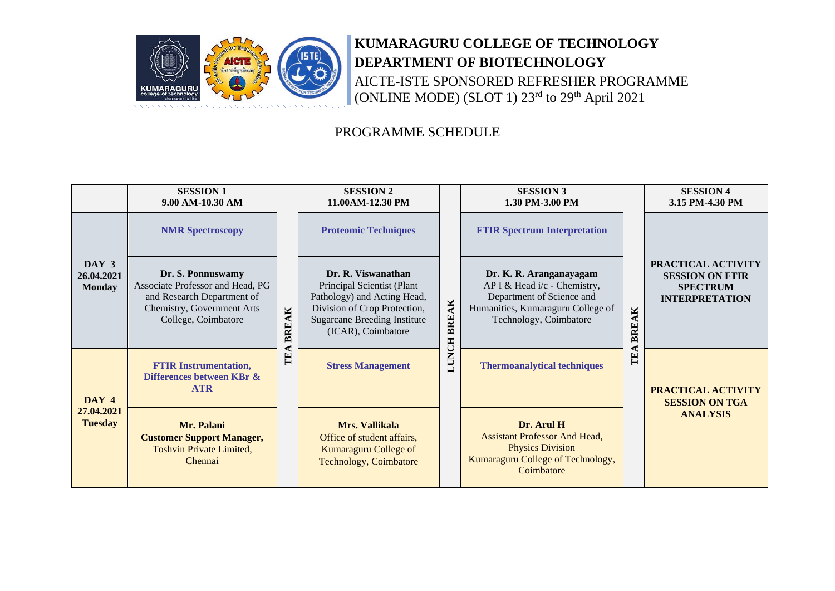

# **KUMARAGURU COLLEGE OF TECHNOLOGY DEPARTMENT OF BIOTECHNOLOGY** AICTE-ISTE SPONSORED REFRESHER PROGRAMME (ONLINE MODE) (SLOT 1) 23<sup>rd</sup> to 29<sup>th</sup> April 2021

### PROGRAMME SCHEDULE

|                                       | <b>SESSION 1</b><br>9.00 AM-10.30 AM                                                                                                     |              | <b>SESSION 2</b><br>11.00AM-12.30 PM                                                                                                                                         |              | <b>SESSION 3</b><br>1.30 PM-3.00 PM                                                                                                                 |              | <b>SESSION 4</b><br>3.15 PM-4.30 PM                                                      |
|---------------------------------------|------------------------------------------------------------------------------------------------------------------------------------------|--------------|------------------------------------------------------------------------------------------------------------------------------------------------------------------------------|--------------|-----------------------------------------------------------------------------------------------------------------------------------------------------|--------------|------------------------------------------------------------------------------------------|
|                                       | <b>NMR Spectroscopy</b>                                                                                                                  |              | <b>Proteomic Techniques</b>                                                                                                                                                  |              | <b>FTIR Spectrum Interpretation</b>                                                                                                                 |              |                                                                                          |
| DAY 3<br>26.04.2021<br><b>Monday</b>  | Dr. S. Ponnuswamy<br>Associate Professor and Head, PG<br>and Research Department of<br>Chemistry, Government Arts<br>College, Coimbatore | <b>BREAK</b> | Dr. R. Viswanathan<br>Principal Scientist (Plant<br>Pathology) and Acting Head,<br>Division of Crop Protection,<br><b>Sugarcane Breeding Institute</b><br>(ICAR), Coimbatore | <b>BREAK</b> | Dr. K. R. Aranganayagam<br>AP I & Head i/c - Chemistry,<br>Department of Science and<br>Humanities, Kumaraguru College of<br>Technology, Coimbatore | <b>BREAK</b> | PRACTICAL ACTIVITY<br><b>SESSION ON FTIR</b><br><b>SPECTRUM</b><br><b>INTERPRETATION</b> |
| DAY 4<br>27.04.2021<br><b>Tuesday</b> | <b>FTIR Instrumentation,</b><br>Differences between KBr &<br><b>ATR</b>                                                                  | Ë            | <b>Stress Management</b>                                                                                                                                                     | <b>LUNCH</b> | <b>Thermoanalytical techniques</b>                                                                                                                  | TEA          | <b>PRACTICAL ACTIVITY</b><br><b>SESSION ON TGA</b>                                       |
|                                       | Mr. Palani<br><b>Customer Support Manager,</b><br>Toshvin Private Limited,<br>Chennai                                                    |              | Mrs. Vallikala<br>Office of student affairs,<br><b>Kumaraguru College of</b><br>Technology, Coimbatore                                                                       |              | Dr. Arul H<br><b>Assistant Professor And Head,</b><br><b>Physics Division</b><br>Kumaraguru College of Technology,<br>Coimbatore                    |              | <b>ANALYSIS</b>                                                                          |